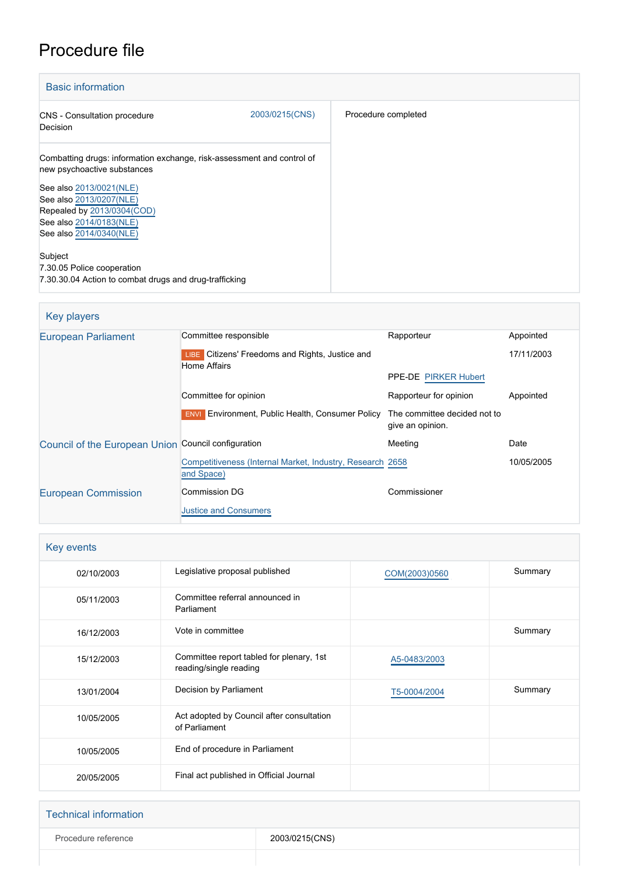# Procedure file

| <b>Basic information</b>                                                                              |                |                     |  |
|-------------------------------------------------------------------------------------------------------|----------------|---------------------|--|
| CNS - Consultation procedure<br>Decision                                                              | 2003/0215(CNS) | Procedure completed |  |
| Combatting drugs: information exchange, risk-assessment and control of<br>new psychoactive substances |                |                     |  |
| See also 2013/0021(NLE)<br>See also 2013/0207(NLE)<br>Repealed by 2013/0304(COD)                      |                |                     |  |
| See also 2014/0183(NLE)<br>See also 2014/0340(NLE)                                                    |                |                     |  |
| Subject<br>7.30.05 Police cooperation<br>7.30.30.04 Action to combat drugs and drug-trafficking       |                |                     |  |

#### Key players [European Parliament](http://www.europarl.europa.eu/) Committee responsible Rapporteur Rapporteur Appointed **LIBE** Citizens' Freedoms and Rights, Justice and Home Affairs PPE-DE [PIRKER Hubert](http://www.europarl.europa.eu/meps/en/2307) 17/11/2003 Committee for opinion **Committee for opinion** Rapporteur for opinion Appointed **ENVI** Environment, Public Health, Consumer Policy The committee decided not to give an opinion. [Council of the European Union](http://www.consilium.europa.eu) Council configuration **Meeting** Meeting Date [Competitiveness \(Internal Market, Industry, Research](http://www.consilium.europa.eu/en/council-eu/configurations/compet?lang=en) [and Space\)](http://www.consilium.europa.eu/en/council-eu/configurations/compet?lang=en) 10/05/2005 [European Commission](http://ec.europa.eu/) Commission DG [Justice and Consumers](http://ec.europa.eu/info/departments/justice-and-consumers_en) Commissioner

| Key events |                                                                    |               |         |  |
|------------|--------------------------------------------------------------------|---------------|---------|--|
| 02/10/2003 | Legislative proposal published                                     | COM(2003)0560 | Summary |  |
| 05/11/2003 | Committee referral announced in<br>Parliament                      |               |         |  |
| 16/12/2003 | Vote in committee                                                  |               | Summary |  |
| 15/12/2003 | Committee report tabled for plenary, 1st<br>reading/single reading | A5-0483/2003  |         |  |
| 13/01/2004 | Decision by Parliament                                             | T5-0004/2004  | Summary |  |
| 10/05/2005 | Act adopted by Council after consultation<br>of Parliament         |               |         |  |
| 10/05/2005 | End of procedure in Parliament                                     |               |         |  |
| 20/05/2005 | Final act published in Official Journal                            |               |         |  |

#### Technical information

Procedure reference 2003/0215(CNS)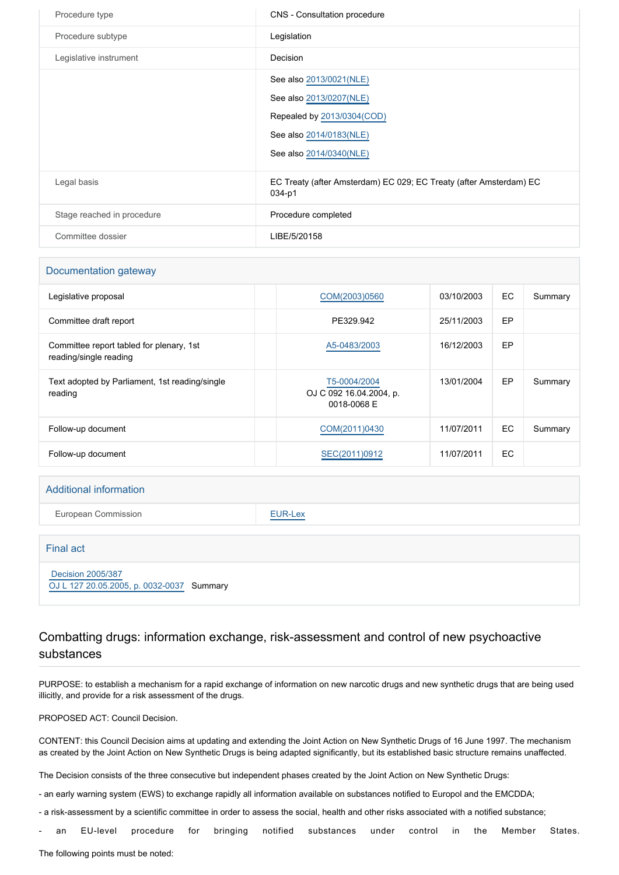| Procedure type             | CNS - Consultation procedure                                                                                                           |
|----------------------------|----------------------------------------------------------------------------------------------------------------------------------------|
| Procedure subtype          | Legislation                                                                                                                            |
| Legislative instrument     | Decision                                                                                                                               |
|                            | See also 2013/0021(NLE)<br>See also 2013/0207(NLE)<br>Repealed by 2013/0304(COD)<br>See also 2014/0183(NLE)<br>See also 2014/0340(NLE) |
| Legal basis                | EC Treaty (after Amsterdam) EC 029; EC Treaty (after Amsterdam) EC<br>034-p1                                                           |
| Stage reached in procedure | Procedure completed                                                                                                                    |
| Committee dossier          | LIBE/5/20158                                                                                                                           |

| Documentation gateway                                              |                                                        |            |           |         |
|--------------------------------------------------------------------|--------------------------------------------------------|------------|-----------|---------|
| Legislative proposal                                               | COM(2003)0560                                          | 03/10/2003 | EC        | Summary |
| Committee draft report                                             | PE329.942                                              | 25/11/2003 | <b>EP</b> |         |
| Committee report tabled for plenary, 1st<br>reading/single reading | A5-0483/2003                                           | 16/12/2003 | EP        |         |
| Text adopted by Parliament, 1st reading/single<br>reading          | T5-0004/2004<br>OJ C 092 16.04.2004, p.<br>0018-0068 E | 13/01/2004 | EP        | Summary |
| Follow-up document                                                 | COM(2011)0430                                          | 11/07/2011 | <b>EC</b> | Summary |
| Follow-up document                                                 | SEC(2011)0912                                          | 11/07/2011 | EC        |         |
|                                                                    |                                                        |            |           |         |

#### Additional information

European Commission **[EUR-Lex](http://ec.europa.eu/prelex/liste_resultats.cfm?CL=en&ReqId=0&DocType=CNS&DocYear=2003&DocNum=0215)** 

| Final act                                                             |  |
|-----------------------------------------------------------------------|--|
| <b>Decision 2005/387</b><br>OJ L 127 20.05.2005, p. 0032-0037 Summary |  |

### Combatting drugs: information exchange, risk-assessment and control of new psychoactive substances

PURPOSE: to establish a mechanism for a rapid exchange of information on new narcotic drugs and new synthetic drugs that are being used illicitly, and provide for a risk assessment of the drugs.

PROPOSED ACT: Council Decision.

CONTENT: this Council Decision aims at updating and extending the Joint Action on New Synthetic Drugs of 16 June 1997. The mechanism as created by the Joint Action on New Synthetic Drugs is being adapted significantly, but its established basic structure remains unaffected.

The Decision consists of the three consecutive but independent phases created by the Joint Action on New Synthetic Drugs:

- an early warning system (EWS) to exchange rapidly all information available on substances notified to Europol and the EMCDDA;

- a risk-assessment by a scientific committee in order to assess the social, health and other risks associated with a notified substance;

an EU-level procedure for bringing notified substances under control in the Member States.

The following points must be noted: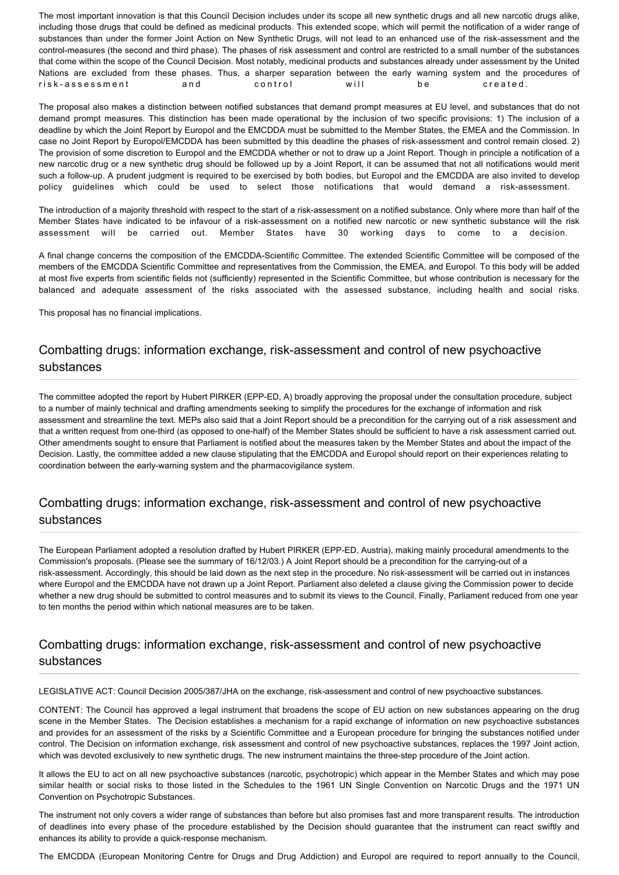The most important innovation is that this Council Decision includes under its scope all new synthetic drugs and all new narcotic drugs alike, including those drugs that could be defined as medicinal products. This extended scope, which will permit the notification of a wider range of substances than under the former Joint Action on New Synthetic Drugs, will not lead to an enhanced use of the risk-assessment and the control-measures (the second and third phase). The phases of risk assessment and control are restricted to a small number of the substances that come within the scope of the Council Decision. Most notably, medicinal products and substances already under assessment by the United Nations are excluded from these phases. Thus, a sharper separation between the early warning system and the procedures of risk-assessment and control will be created.

The proposal also makes a distinction between notified substances that demand prompt measures at EU level, and substances that do not demand prompt measures. This distinction has been made operational by the inclusion of two specific provisions: 1) The inclusion of a deadline by which the Joint Report by Europol and the EMCDDA must be submitted to the Member States, the EMEA and the Commission. In case no Joint Report by Europol/EMCDDA has been submitted by this deadline the phases of risk-assessment and control remain closed. 2) The provision of some discretion to Europol and the EMCDDA whether or not to draw up a Joint Report. Though in principle a notification of a new narcotic drug or a new synthetic drug should be followed up by a Joint Report, it can be assumed that not all notifications would merit such a follow-up. A prudent judgment is required to be exercised by both bodies, but Europol and the EMCDDA are also invited to develop policy guidelines which could be used to select those notifications that would demand a risk-assessment.

The introduction of a majority threshold with respect to the start of a risk-assessment on a notified substance. Only where more than half of the Member States have indicated to be infavour of a risk-assessment on a notified new narcotic or new synthetic substance will the risk assessment will be carried out. Member States have 30 working days to come to a decision.

A final change concerns the composition of the EMCDDA-Scientific Committee. The extended Scientific Committee will be composed of the members of the EMCDDA Scientific Committee and representatives from the Commission, the EMEA, and Europol. To this body will be added at most five experts from scientific fields not (sufficiently) represented in the Scientific Committee, but whose contribution is necessary for the balanced and adequate assessment of the risks associated with the assessed substance, including health and social risks.

This proposal has no financial implications.

#### Combatting drugs: information exchange, risk-assessment and control of new psychoactive substances

The committee adopted the report by Hubert PIRKER (EPP-ED, A) broadly approving the proposal under the consultation procedure, subject to a number of mainly technical and drafting amendments seeking to simplify the procedures for the exchange of information and risk assessment and streamline the text. MEPs also said that a Joint Report should be a precondition for the carrying out of a risk assessment and that a written request from one-third (as opposed to one-half) of the Member States should be sufficient to have a risk assessment carried out. Other amendments sought to ensure that Parliament is notified about the measures taken by the Member States and about the impact of the Decision. Lastly, the committee added a new clause stipulating that the EMCDDA and Europol should report on their experiences relating to coordination between the early-warning system and the pharmacovigilance system.

### Combatting drugs: information exchange, risk-assessment and control of new psychoactive substances

The European Parliament adopted a resolution drafted by Hubert PIRKER (EPP-ED, Austria), making mainly procedural amendments to the Commission's proposals. (Please see the summary of 16/12/03.) A Joint Report should be a precondition for the carrying-out of a risk-assessment. Accordingly, this should be laid down as the next step in the procedure. No risk-assessment will be carried out in instances where Europol and the EMCDDA have not drawn up a Joint Report. Parliament also deleted a clause giving the Commission power to decide whether a new drug should be submitted to control measures and to submit its views to the Council. Finally, Parliament reduced from one year to ten months the period within which national measures are to be taken.

### Combatting drugs: information exchange, risk-assessment and control of new psychoactive substances

LEGISLATIVE ACT: Council Decision 2005/387/JHA on the exchange, risk-assessment and control of new psychoactive substances.

CONTENT: The Council has approved a legal instrument that broadens the scope of EU action on new substances appearing on the drug scene in the Member States. The Decision establishes a mechanism for a rapid exchange of information on new psychoactive substances and provides for an assessment of the risks by a Scientific Committee and a European procedure for bringing the substances notified under control. The Decision on information exchange, risk assessment and control of new psychoactive substances, replaces the 1997 Joint action, which was devoted exclusively to new synthetic drugs. The new instrument maintains the three-step procedure of the Joint action.

It allows the EU to act on all new psychoactive substances (narcotic, psychotropic) which appear in the Member States and which may pose similar health or social risks to those listed in the Schedules to the 1961 UN Single Convention on Narcotic Drugs and the 1971 UN Convention on Psychotropic Substances.

The instrument not only covers a wider range of substances than before but also promises fast and more transparent results. The introduction of deadlines into every phase of the procedure established by the Decision should guarantee that the instrument can react swiftly and enhances its ability to provide a quick-response mechanism.

The EMCDDA (European Monitoring Centre for Drugs and Drug Addiction) and Europol are required to report annually to the Council,